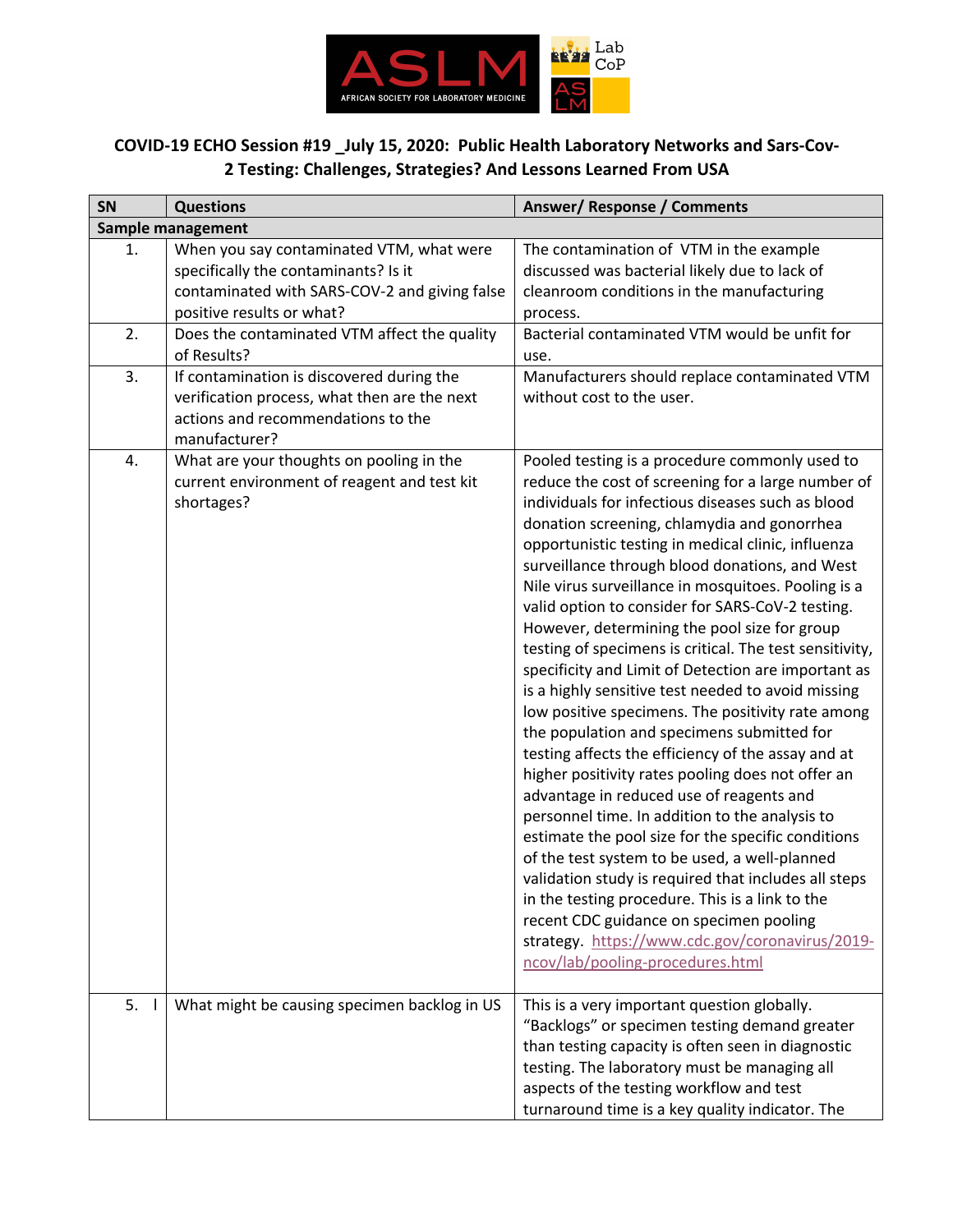

## **COVID-19 ECHO Session #19 \_July 15, 2020: Public Health Laboratory Networks and Sars-Cov-2 Testing: Challenges, Strategies? And Lessons Learned From USA**

| SN                | <b>Questions</b>                                                                                                                                               | Answer/Response / Comments                                                                                                                                                                                                                                                                                                                                                                                                                                                                                                                                                                                                                                                                                                                                                                                                                                                                                                                                                                                                                                                                                                                                                                                                                                                                                          |  |  |
|-------------------|----------------------------------------------------------------------------------------------------------------------------------------------------------------|---------------------------------------------------------------------------------------------------------------------------------------------------------------------------------------------------------------------------------------------------------------------------------------------------------------------------------------------------------------------------------------------------------------------------------------------------------------------------------------------------------------------------------------------------------------------------------------------------------------------------------------------------------------------------------------------------------------------------------------------------------------------------------------------------------------------------------------------------------------------------------------------------------------------------------------------------------------------------------------------------------------------------------------------------------------------------------------------------------------------------------------------------------------------------------------------------------------------------------------------------------------------------------------------------------------------|--|--|
| Sample management |                                                                                                                                                                |                                                                                                                                                                                                                                                                                                                                                                                                                                                                                                                                                                                                                                                                                                                                                                                                                                                                                                                                                                                                                                                                                                                                                                                                                                                                                                                     |  |  |
| 1.                | When you say contaminated VTM, what were<br>specifically the contaminants? Is it<br>contaminated with SARS-COV-2 and giving false<br>positive results or what? | The contamination of VTM in the example<br>discussed was bacterial likely due to lack of<br>cleanroom conditions in the manufacturing<br>process.                                                                                                                                                                                                                                                                                                                                                                                                                                                                                                                                                                                                                                                                                                                                                                                                                                                                                                                                                                                                                                                                                                                                                                   |  |  |
| 2.                | Does the contaminated VTM affect the quality<br>of Results?                                                                                                    | Bacterial contaminated VTM would be unfit for<br>use.                                                                                                                                                                                                                                                                                                                                                                                                                                                                                                                                                                                                                                                                                                                                                                                                                                                                                                                                                                                                                                                                                                                                                                                                                                                               |  |  |
| 3.                | If contamination is discovered during the<br>verification process, what then are the next<br>actions and recommendations to the<br>manufacturer?               | Manufacturers should replace contaminated VTM<br>without cost to the user.                                                                                                                                                                                                                                                                                                                                                                                                                                                                                                                                                                                                                                                                                                                                                                                                                                                                                                                                                                                                                                                                                                                                                                                                                                          |  |  |
| 4.                | What are your thoughts on pooling in the<br>current environment of reagent and test kit<br>shortages?                                                          | Pooled testing is a procedure commonly used to<br>reduce the cost of screening for a large number of<br>individuals for infectious diseases such as blood<br>donation screening, chlamydia and gonorrhea<br>opportunistic testing in medical clinic, influenza<br>surveillance through blood donations, and West<br>Nile virus surveillance in mosquitoes. Pooling is a<br>valid option to consider for SARS-CoV-2 testing.<br>However, determining the pool size for group<br>testing of specimens is critical. The test sensitivity,<br>specificity and Limit of Detection are important as<br>is a highly sensitive test needed to avoid missing<br>low positive specimens. The positivity rate among<br>the population and specimens submitted for<br>testing affects the efficiency of the assay and at<br>higher positivity rates pooling does not offer an<br>advantage in reduced use of reagents and<br>personnel time. In addition to the analysis to<br>estimate the pool size for the specific conditions<br>of the test system to be used, a well-planned<br>validation study is required that includes all steps<br>in the testing procedure. This is a link to the<br>recent CDC guidance on specimen pooling<br>strategy. https://www.cdc.gov/coronavirus/2019-<br>ncov/lab/pooling-procedures.html |  |  |
| 5.                | What might be causing specimen backlog in US                                                                                                                   | This is a very important question globally.<br>"Backlogs" or specimen testing demand greater<br>than testing capacity is often seen in diagnostic<br>testing. The laboratory must be managing all<br>aspects of the testing workflow and test<br>turnaround time is a key quality indicator. The                                                                                                                                                                                                                                                                                                                                                                                                                                                                                                                                                                                                                                                                                                                                                                                                                                                                                                                                                                                                                    |  |  |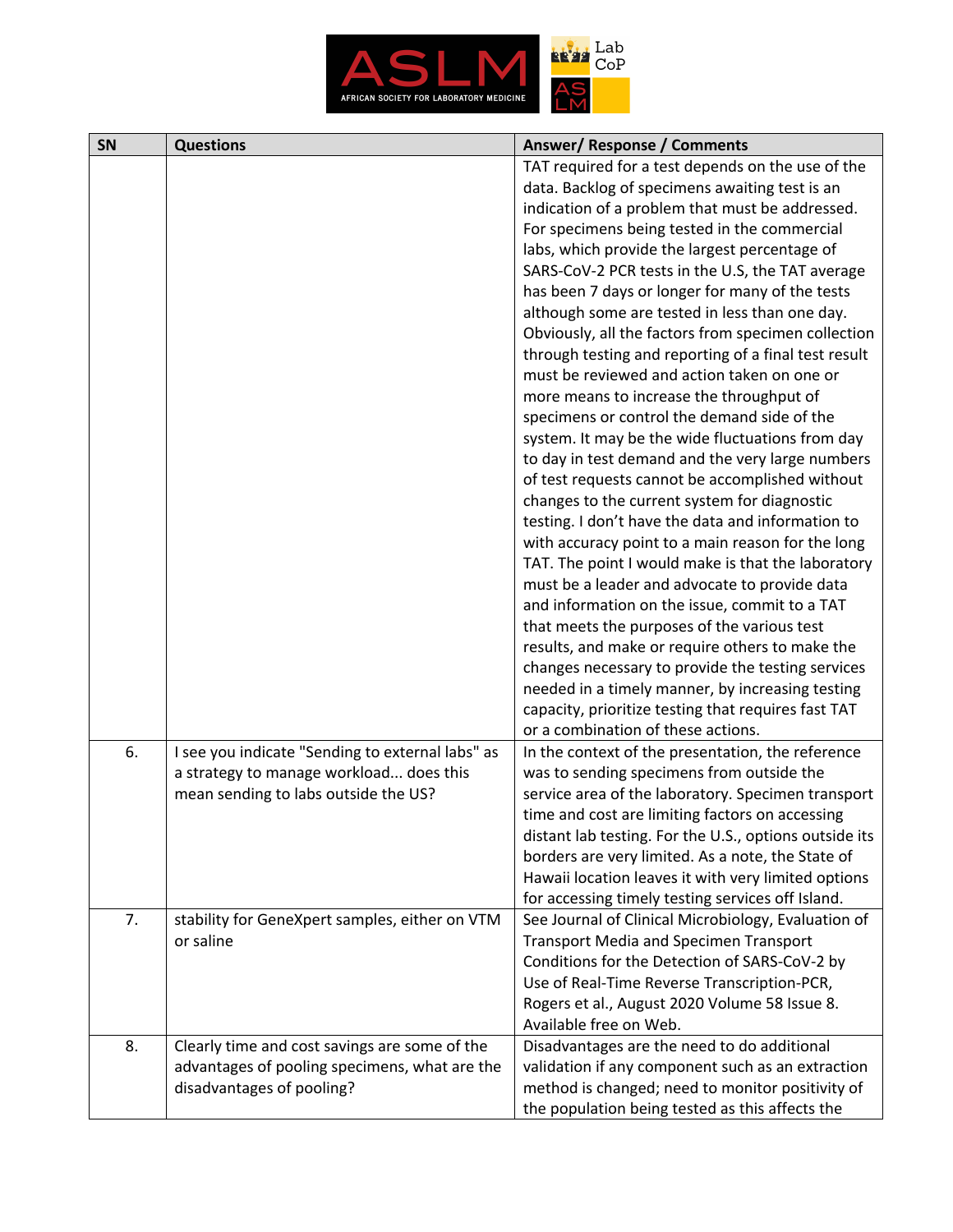

| SN | <b>Questions</b>                                 | <b>Answer/ Response / Comments</b>                     |
|----|--------------------------------------------------|--------------------------------------------------------|
|    |                                                  | TAT required for a test depends on the use of the      |
|    |                                                  | data. Backlog of specimens awaiting test is an         |
|    |                                                  | indication of a problem that must be addressed.        |
|    |                                                  | For specimens being tested in the commercial           |
|    |                                                  | labs, which provide the largest percentage of          |
|    |                                                  | SARS-CoV-2 PCR tests in the U.S, the TAT average       |
|    |                                                  | has been 7 days or longer for many of the tests        |
|    |                                                  | although some are tested in less than one day.         |
|    |                                                  | Obviously, all the factors from specimen collection    |
|    |                                                  | through testing and reporting of a final test result   |
|    |                                                  | must be reviewed and action taken on one or            |
|    |                                                  | more means to increase the throughput of               |
|    |                                                  |                                                        |
|    |                                                  | specimens or control the demand side of the            |
|    |                                                  | system. It may be the wide fluctuations from day       |
|    |                                                  | to day in test demand and the very large numbers       |
|    |                                                  | of test requests cannot be accomplished without        |
|    |                                                  | changes to the current system for diagnostic           |
|    |                                                  | testing. I don't have the data and information to      |
|    |                                                  | with accuracy point to a main reason for the long      |
|    |                                                  | TAT. The point I would make is that the laboratory     |
|    |                                                  | must be a leader and advocate to provide data          |
|    |                                                  | and information on the issue, commit to a TAT          |
|    |                                                  | that meets the purposes of the various test            |
|    |                                                  | results, and make or require others to make the        |
|    |                                                  | changes necessary to provide the testing services      |
|    |                                                  | needed in a timely manner, by increasing testing       |
|    |                                                  | capacity, prioritize testing that requires fast TAT    |
|    |                                                  | or a combination of these actions.                     |
| 6. | I see you indicate "Sending to external labs" as | In the context of the presentation, the reference      |
|    | a strategy to manage workload does this          | was to sending specimens from outside the              |
|    | mean sending to labs outside the US?             | service area of the laboratory. Specimen transport     |
|    |                                                  | time and cost are limiting factors on accessing        |
|    |                                                  | distant lab testing. For the U.S., options outside its |
|    |                                                  | borders are very limited. As a note, the State of      |
|    |                                                  | Hawaii location leaves it with very limited options    |
|    |                                                  | for accessing timely testing services off Island.      |
| 7. | stability for GeneXpert samples, either on VTM   | See Journal of Clinical Microbiology, Evaluation of    |
|    | or saline                                        | <b>Transport Media and Specimen Transport</b>          |
|    |                                                  | Conditions for the Detection of SARS-CoV-2 by          |
|    |                                                  | Use of Real-Time Reverse Transcription-PCR,            |
|    |                                                  | Rogers et al., August 2020 Volume 58 Issue 8.          |
|    |                                                  | Available free on Web.                                 |
|    |                                                  |                                                        |
| 8. | Clearly time and cost savings are some of the    | Disadvantages are the need to do additional            |
|    | advantages of pooling specimens, what are the    | validation if any component such as an extraction      |
|    | disadvantages of pooling?                        | method is changed; need to monitor positivity of       |
|    |                                                  | the population being tested as this affects the        |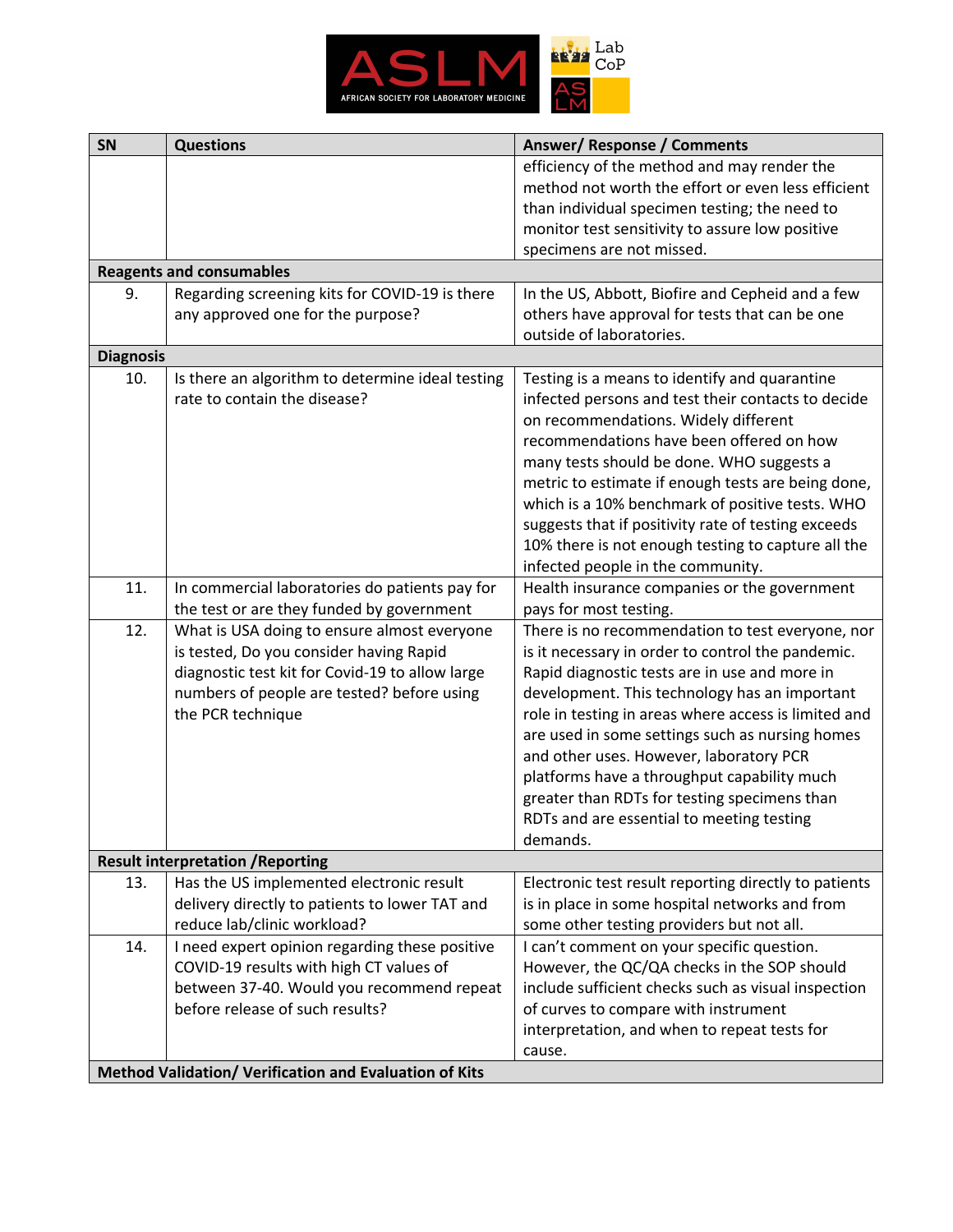

| SN               | <b>Questions</b>                                       | <b>Answer/ Response / Comments</b>                    |
|------------------|--------------------------------------------------------|-------------------------------------------------------|
|                  |                                                        | efficiency of the method and may render the           |
|                  |                                                        | method not worth the effort or even less efficient    |
|                  |                                                        | than individual specimen testing; the need to         |
|                  |                                                        | monitor test sensitivity to assure low positive       |
|                  |                                                        | specimens are not missed.                             |
|                  | <b>Reagents and consumables</b>                        |                                                       |
| 9.               | Regarding screening kits for COVID-19 is there         | In the US, Abbott, Biofire and Cepheid and a few      |
|                  | any approved one for the purpose?                      | others have approval for tests that can be one        |
|                  |                                                        | outside of laboratories.                              |
| <b>Diagnosis</b> |                                                        |                                                       |
| 10.              | Is there an algorithm to determine ideal testing       | Testing is a means to identify and quarantine         |
|                  | rate to contain the disease?                           | infected persons and test their contacts to decide    |
|                  |                                                        | on recommendations. Widely different                  |
|                  |                                                        | recommendations have been offered on how              |
|                  |                                                        | many tests should be done. WHO suggests a             |
|                  |                                                        | metric to estimate if enough tests are being done,    |
|                  |                                                        | which is a 10% benchmark of positive tests. WHO       |
|                  |                                                        | suggests that if positivity rate of testing exceeds   |
|                  |                                                        | 10% there is not enough testing to capture all the    |
|                  |                                                        | infected people in the community.                     |
| 11.              | In commercial laboratories do patients pay for         | Health insurance companies or the government          |
|                  | the test or are they funded by government              | pays for most testing.                                |
| 12.              | What is USA doing to ensure almost everyone            | There is no recommendation to test everyone, nor      |
|                  | is tested, Do you consider having Rapid                | is it necessary in order to control the pandemic.     |
|                  | diagnostic test kit for Covid-19 to allow large        | Rapid diagnostic tests are in use and more in         |
|                  | numbers of people are tested? before using             | development. This technology has an important         |
|                  | the PCR technique                                      | role in testing in areas where access is limited and  |
|                  |                                                        | are used in some settings such as nursing homes       |
|                  |                                                        | and other uses. However, laboratory PCR               |
|                  |                                                        | platforms have a throughput capability much           |
|                  |                                                        | greater than RDTs for testing specimens than          |
|                  |                                                        | RDTs and are essential to meeting testing             |
|                  |                                                        | demands.                                              |
|                  | <b>Result interpretation / Reporting</b>               |                                                       |
| 13.              | Has the US implemented electronic result               | Electronic test result reporting directly to patients |
|                  | delivery directly to patients to lower TAT and         | is in place in some hospital networks and from        |
|                  | reduce lab/clinic workload?                            | some other testing providers but not all.             |
| 14.              | I need expert opinion regarding these positive         | I can't comment on your specific question.            |
|                  | COVID-19 results with high CT values of                | However, the QC/QA checks in the SOP should           |
|                  | between 37-40. Would you recommend repeat              | include sufficient checks such as visual inspection   |
|                  | before release of such results?                        | of curves to compare with instrument                  |
|                  |                                                        | interpretation, and when to repeat tests for          |
|                  |                                                        | cause.                                                |
|                  | Method Validation/ Verification and Evaluation of Kits |                                                       |